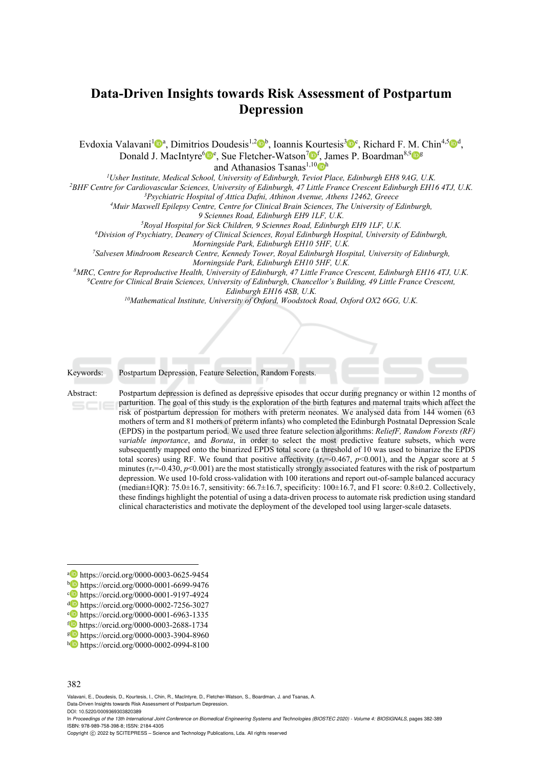# **Data-Driven Insights towards Risk Assessment of Postpartum Depression**

Evdoxia Valavani<sup>1</sup><sup>0</sup><sup>a</sup>, Dimitrios Doudesis<sup>1,2</sup><sup>0</sup><sup>b</sup>, Ioannis Kourtesis<sup>3</sup><sup>0</sup><sup>c</sup>, Richard F. M. Chin<sup>4,5</sup><sup>0</sub><sup>d</sup>,</sup> Donald J. MacIntyre<sup>6</sup><sup>e</sup>, Sue Fletcher-Watson<sup>7</sup><sup>of</sup>, James P. Boardman<sup>8,9</sup><sup>og</sup>

and Athanasios Tsanas<sup>1,10</sup> <sup>h</sup><br><sup>1</sup>Usher Institute, Medical School, University of Edinburgh, Teviot Place, Edinburgh EH8 9AG, U.K.

<sup>2</sup>BHF Centre for Cardiovascular Sciences, University of Edinburgh, 47 Little France Crescent Edinburgh EH16 4TJ, U.K.<br><sup>3</sup>Psychiatric Hospital of Attica Dafni, Athinon Avenue, Athens 12462, Greece<br><sup>4</sup>Muir Maxwell Epilepsy

<sup>5</sup>Royal Hospital for Sick Children, 9 Sciennes Road, Edinburgh EH9 1LF, U.K.<br><sup>6</sup>Division of Psychiatry, Deanery of Clinical Sciences, Royal Edinburgh Hospital, University of Edinburgh,<br>Morningside Park, Edinburgh EH10 5HF

*Morningside Park, Edinburgh EH10 5HF, U.K. 7Salvesen Mindroom Research Centre, Kennedy Tower, Royal Edinburgh Hospital, University of Edinburgh,* 

Morningside Park, Edinburgh EH10 5HF, U.K.<br><sup>8</sup>MRC, Centre for Reproductive Health, University of Edinburgh, 47 Little France Crescent, Edinburgh EH16 4TJ, U.K.<br><sup>9</sup>Centre for Clinical Brain Sciences, University of Edinburgh *Edinburgh EH16 4SB, U.K. 10Mathematical Institute, University of Oxford, Woodstock Road, Oxford OX2 6GG, U.K.* 

*{d.macintyre, sue.fletcher-watson, james.boardman, athanasios.tsanas}@ed.ac.uk* 



Keywords: Postpartum Depression, Feature Selection, Random Forests.

Abstract: Postpartum depression is defined as depressive episodes that occur during pregnancy or within 12 months of parturition. The goal of this study is the exploration of the birth features and maternal traits which affect the risk of postpartum depression for mothers with preterm neonates. We analysed data from 144 women (63 mothers of term and 81 mothers of preterm infants) who completed the Edinburgh Postnatal Depression Scale (EPDS) in the postpartum period. We used three feature selection algorithms: *ReliefF, Random Forests (RF) variable importance*, and *Boruta*, in order to select the most predictive feature subsets, which were subsequently mapped onto the binarized EPDS total score (a threshold of 10 was used to binarize the EPDS total scores) using RF. We found that positive affectivity  $(r_s=0.467, p<0.001)$ , and the Apgar score at 5 minutes (r<sub>s</sub>=-0.430, *p*<0.001) are the most statistically strongly associated features with the risk of postpartum depression. We used 10-fold cross-validation with 100 iterations and report out-of-sample balanced accuracy (median $\pm$ IQR): 75.0 $\pm$ 16.7, sensitivity: 66.7 $\pm$ 16.7, specificity: 100 $\pm$ 16.7, and F1 score: 0.8 $\pm$ 0.2. Collectively, these findings highlight the potential of using a data-driven process to automate risk prediction using standard clinical characteristics and motivate the deployment of the developed tool using larger-scale datasets.

 $\overline{a}$ 

Valavani, E., Doudesis, D., Kourtesis, I., Chin, R., MacIntyre, D., Fletcher-Watson, S., Boardman, J. and Tsanas, A. Data-Driven Insights towards Risk Assessment of Postpartum Depression.

DOI: 10.5220/0009369303820389

<sup>&</sup>lt;sup>a</sup> https://orcid.org/0000-0003-0625-9454<br>
b https://orcid.org/0000-0001-6699-9476<br>
c https://orcid.org/0000-0001-9197-4924<br>
https://orcid.org/0000-0001-9197-4924<br>
b https://orcid.org/0000-0002-7256-3027<br>
bttps://orcid.org

<sup>382</sup>

In *Proceedings of the 13th International Joint Conference on Biomedical Engineering Systems and Technologies (BIOSTEC 2020) - Volume 4: BIOSIGNALS*, pages 382-389 ISBN: 978-989-758-398-8; ISSN: 2184-4305

Copyright © 2022 by SCITEPRESS - Science and Technology Publications, Lda. All rights reserved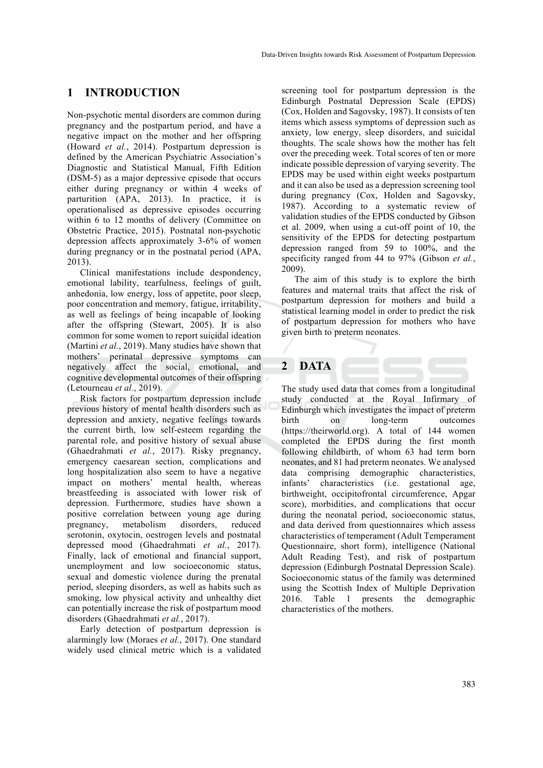### **1 INTRODUCTION**

Non-psychotic mental disorders are common during pregnancy and the postpartum period, and have a negative impact on the mother and her offspring (Howard *et al.*, 2014). Postpartum depression is defined by the American Psychiatric Association's Diagnostic and Statistical Manual, Fifth Edition (DSM-5) as a major depressive episode that occurs either during pregnancy or within 4 weeks of parturition (APA, 2013). In practice, it is operationalised as depressive episodes occurring within 6 to 12 months of delivery (Committee on Obstetric Practice, 2015). Postnatal non-psychotic depression affects approximately 3-6% of women during pregnancy or in the postnatal period (APA, 2013).

Clinical manifestations include despondency, emotional lability, tearfulness, feelings of guilt, anhedonia, low energy, loss of appetite, poor sleep, poor concentration and memory, fatigue, irritability, as well as feelings of being incapable of looking after the offspring (Stewart, 2005). It is also common for some women to report suicidal ideation (Martini *et al.*, 2019). Many studies have shown that mothers' perinatal depressive symptoms can negatively affect the social, emotional, and cognitive developmental outcomes of their offspring (Letourneau *et al.*, 2019).

Risk factors for postpartum depression include previous history of mental health disorders such as depression and anxiety, negative feelings towards the current birth, low self-esteem regarding the parental role, and positive history of sexual abuse (Ghaedrahmati *et al.*, 2017). Risky pregnancy, emergency caesarean section, complications and long hospitalization also seem to have a negative impact on mothers' mental health, whereas breastfeeding is associated with lower risk of depression. Furthermore, studies have shown a positive correlation between young age during pregnancy, metabolism disorders, reduced serotonin, oxytocin, oestrogen levels and postnatal depressed mood (Ghaedrahmati *et al.*, 2017). Finally, lack of emotional and financial support, unemployment and low socioeconomic status, sexual and domestic violence during the prenatal period, sleeping disorders, as well as habits such as smoking, low physical activity and unhealthy diet can potentially increase the risk of postpartum mood disorders (Ghaedrahmati *et al.*, 2017).

Early detection of postpartum depression is alarmingly low (Moraes *et al.*, 2017). One standard widely used clinical metric which is a validated screening tool for postpartum depression is the Edinburgh Postnatal Depression Scale (EPDS) (Cox, Holden and Sagovsky, 1987). It consists of ten items which assess symptoms of depression such as anxiety, low energy, sleep disorders, and suicidal thoughts. The scale shows how the mother has felt over the preceding week. Total scores of ten or more indicate possible depression of varying severity. The EPDS may be used within eight weeks postpartum and it can also be used as a depression screening tool during pregnancy (Cox, Holden and Sagovsky, 1987). According to a systematic review of validation studies of the EPDS conducted by Gibson et al. 2009, when using a cut-off point of 10, the sensitivity of the EPDS for detecting postpartum depression ranged from 59 to 100%, and the specificity ranged from 44 to 97% (Gibson *et al.*, 2009).

The aim of this study is to explore the birth features and maternal traits that affect the risk of postpartum depression for mothers and build a statistical learning model in order to predict the risk of postpartum depression for mothers who have given birth to preterm neonates.

### **2 DATA**

The study used data that comes from a longitudinal study conducted at the Royal Infirmary of Edinburgh which investigates the impact of preterm birth on long-term outcomes (https://theirworld.org). A total of 144 women completed the EPDS during the first month following childbirth, of whom 63 had term born neonates, and 81 had preterm neonates. We analysed data comprising demographic characteristics, infants' characteristics (i.e. gestational age, birthweight, occipitofrontal circumference, Apgar score), morbidities, and complications that occur during the neonatal period, socioeconomic status, and data derived from questionnaires which assess characteristics of temperament (Adult Temperament Questionnaire, short form), intelligence (National Adult Reading Test), and risk of postpartum depression (Edinburgh Postnatal Depression Scale). Socioeconomic status of the family was determined using the Scottish Index of Multiple Deprivation 2016. Table 1 presents the demographic characteristics of the mothers.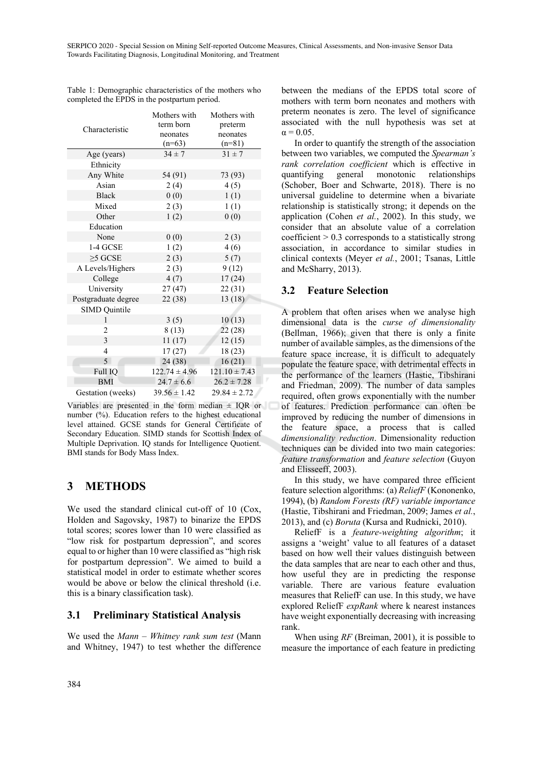|                      | Mothers with      | Mothers with      |
|----------------------|-------------------|-------------------|
| Characteristic       | term born         | preterm           |
|                      | neonates          | neonates          |
|                      | $(n=63)$          | $(n=81)$          |
| Age (years)          | $34 \pm 7$        | $31 \pm 7$        |
| Ethnicity            |                   |                   |
| Any White            | 54 (91)           | 73 (93)           |
| Asian                | 2(4)              | 4(5)              |
| <b>Black</b>         | 0(0)              | 1(1)              |
| Mixed                | 2(3)              | 1(1)              |
| Other                | 1(2)              | 0(0)              |
| Education            |                   |                   |
| None                 | 0(0)              | 2(3)              |
| 1-4 GCSE             | 1(2)              | 4(6)              |
| $\geq$ 5 GCSE        | 2(3)              | 5(7)              |
| A Levels/Highers     | 2(3)              | 9(12)             |
| College              | 4(7)              | 17(24)            |
| University           | 27(47)            | 22(31)            |
| Postgraduate degree  | 22 (38)           | 13(18)            |
| <b>SIMD</b> Quintile |                   |                   |
| 1                    | 3(5)              | 10(13)            |
| $\overline{2}$       | 8(13)             | 22(28)            |
| $\overline{3}$       | 11(17)            | 12(15)            |
| $\overline{4}$       | 17(27)            | 18(23)            |
| $\overline{5}$       | 24(38)            | 16(21)            |
| Full IQ              | $122.74 \pm 4.96$ | $121.10 \pm 7.43$ |
| <b>BMI</b>           | $24.7 \pm 6.6$    | $26.2 \pm 7.28$   |
| Gestation (weeks)    | $39.56 \pm 1.42$  | $29.84 \pm 2.72$  |

Table 1: Demographic characteristics of the mothers who completed the EPDS in the postpartum period.

Variables are presented in the form median  $\pm$  IQR or number (%). Education refers to the highest educational level attained. GCSE stands for General Certificate of Secondary Education. SIMD stands for Scottish Index of Multiple Deprivation. IQ stands for Intelligence Quotient. BMI stands for Body Mass Index.

### **3 METHODS**

We used the standard clinical cut-off of 10 (Cox, Holden and Sagovsky, 1987) to binarize the EPDS total scores; scores lower than 10 were classified as "low risk for postpartum depression", and scores equal to or higher than 10 were classified as "high risk for postpartum depression". We aimed to build a statistical model in order to estimate whether scores would be above or below the clinical threshold (i.e. this is a binary classification task).

#### **3.1 Preliminary Statistical Analysis**

We used the *Mann – Whitney rank sum test* (Mann and Whitney, 1947) to test whether the difference

between the medians of the EPDS total score of mothers with term born neonates and mothers with preterm neonates is zero. The level of significance associated with the null hypothesis was set at  $\alpha$  = 0.05.

In order to quantify the strength of the association between two variables, we computed the *Spearman's rank correlation coefficient* which is effective in quantifying general monotonic relationships (Schober, Boer and Schwarte, 2018). There is no universal guideline to determine when a bivariate relationship is statistically strong; it depends on the application (Cohen *et al.*, 2002). In this study, we consider that an absolute value of a correlation coefficient  $> 0.3$  corresponds to a statistically strong association, in accordance to similar studies in clinical contexts (Meyer *et al.*, 2001; Tsanas, Little and McSharry, 2013).

### **3.2 Feature Selection**

A problem that often arises when we analyse high dimensional data is the *curse of dimensionality* (Bellman, 1966); given that there is only a finite number of available samples, as the dimensions of the feature space increase, it is difficult to adequately populate the feature space, with detrimental effects in the performance of the learners (Hastie, Tibshirani and Friedman, 2009). The number of data samples required, often grows exponentially with the number of features. Prediction performance can often be improved by reducing the number of dimensions in the feature space, a process that is called *dimensionality reduction*. Dimensionality reduction techniques can be divided into two main categories: *feature transformation* and *feature selection* (Guyon and Elisseeff, 2003).

In this study, we have compared three efficient feature selection algorithms: (a) *ReliefF* (Kononenko, 1994), (b) *Random Forests (RF) variable importance* (Hastie, Tibshirani and Friedman, 2009; James *et al.*, 2013), and (c) *Boruta* (Kursa and Rudnicki, 2010).

ReliefF is a *feature-weighting algorithm*; it assigns a 'weight' value to all features of a dataset based on how well their values distinguish between the data samples that are near to each other and thus, how useful they are in predicting the response variable. There are various feature evaluation measures that ReliefF can use. In this study, we have explored ReliefF *expRank* where k nearest instances have weight exponentially decreasing with increasing rank.

When using *RF* (Breiman, 2001), it is possible to measure the importance of each feature in predicting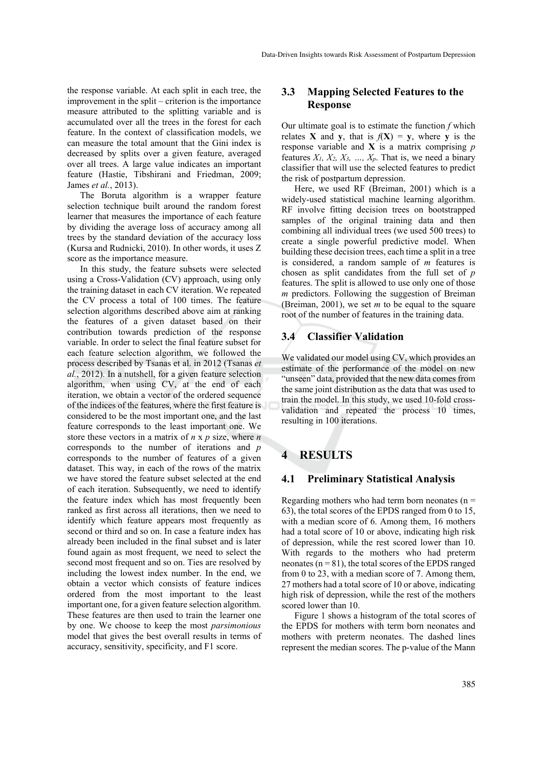the response variable. At each split in each tree, the improvement in the split – criterion is the importance measure attributed to the splitting variable and is accumulated over all the trees in the forest for each feature. In the context of classification models, we can measure the total amount that the Gini index is decreased by splits over a given feature, averaged over all trees. A large value indicates an important feature (Hastie, Tibshirani and Friedman, 2009; James *et al.*, 2013).

The Boruta algorithm is a wrapper feature selection technique built around the random forest learner that measures the importance of each feature by dividing the average loss of accuracy among all trees by the standard deviation of the accuracy loss (Kursa and Rudnicki, 2010). In other words, it uses Z score as the importance measure.

In this study, the feature subsets were selected using a Cross-Validation (CV) approach, using only the training dataset in each CV iteration. We repeated the CV process a total of 100 times. The feature selection algorithms described above aim at ranking the features of a given dataset based on their contribution towards prediction of the response variable. In order to select the final feature subset for each feature selection algorithm, we followed the process described by Tsanas et al. in 2012 (Tsanas *et al.*, 2012). In a nutshell, for a given feature selection algorithm, when using CV, at the end of each iteration, we obtain a vector of the ordered sequence of the indices of the features, where the first feature is considered to be the most important one, and the last feature corresponds to the least important one. We store these vectors in a matrix of *n* x *p* size, where *n* corresponds to the number of iterations and *p* corresponds to the number of features of a given dataset. This way, in each of the rows of the matrix we have stored the feature subset selected at the end of each iteration. Subsequently, we need to identify the feature index which has most frequently been ranked as first across all iterations, then we need to identify which feature appears most frequently as second or third and so on. In case a feature index has already been included in the final subset and is later found again as most frequent, we need to select the second most frequent and so on. Ties are resolved by including the lowest index number. In the end, we obtain a vector which consists of feature indices ordered from the most important to the least important one, for a given feature selection algorithm. These features are then used to train the learner one by one. We choose to keep the most *parsimonious* model that gives the best overall results in terms of accuracy, sensitivity, specificity, and F1 score.

#### **3.3 Mapping Selected Features to the Response**

Our ultimate goal is to estimate the function *f* which relates **X** and **y**, that is  $f(X) = y$ , where **y** is the response variable and **X** is a matrix comprising *p*  features  $X_1$ ,  $X_2$ ,  $X_3$ , ...,  $X_p$ . That is, we need a binary classifier that will use the selected features to predict the risk of postpartum depression.

Here, we used RF (Breiman, 2001) which is a widely-used statistical machine learning algorithm. RF involve fitting decision trees on bootstrapped samples of the original training data and then combining all individual trees (we used 500 trees) to create a single powerful predictive model. When building these decision trees, each time a split in a tree is considered, a random sample of *m* features is chosen as split candidates from the full set of *p* features. The split is allowed to use only one of those *m* predictors. Following the suggestion of Breiman (Breiman, 2001), we set *m* to be equal to the square root of the number of features in the training data.

#### **3.4 Classifier Validation**

We validated our model using CV, which provides an estimate of the performance of the model on new "unseen" data, provided that the new data comes from the same joint distribution as the data that was used to train the model. In this study, we used 10-fold crossvalidation and repeated the process 10 times, resulting in 100 iterations.

### **4 RESULTS**

#### **4.1 Preliminary Statistical Analysis**

Regarding mothers who had term born neonates ( $n =$ 63), the total scores of the EPDS ranged from 0 to 15, with a median score of 6. Among them, 16 mothers had a total score of 10 or above, indicating high risk of depression, while the rest scored lower than 10. With regards to the mothers who had preterm neonates ( $n = 81$ ), the total scores of the EPDS ranged from 0 to 23, with a median score of 7. Among them, 27 mothers had a total score of 10 or above, indicating high risk of depression, while the rest of the mothers scored lower than 10.

Figure 1 shows a histogram of the total scores of the EPDS for mothers with term born neonates and mothers with preterm neonates. The dashed lines represent the median scores. The p-value of the Mann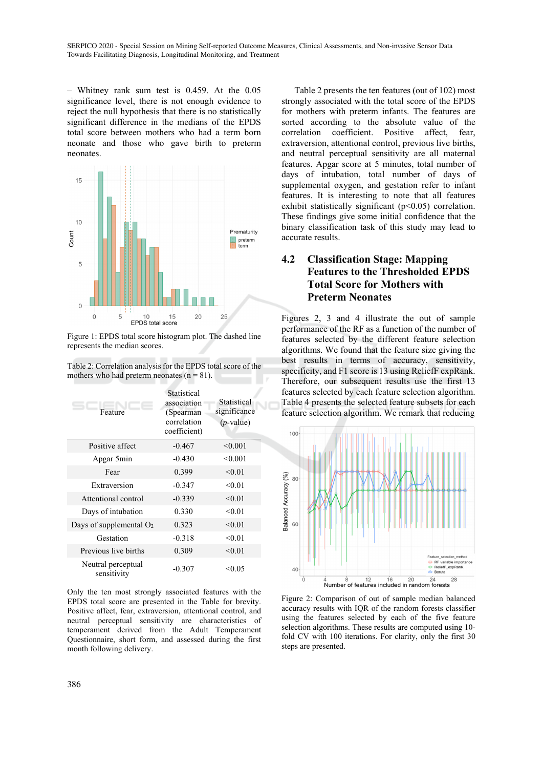– Whitney rank sum test is 0.459. At the 0.05 significance level, there is not enough evidence to reject the null hypothesis that there is no statistically significant difference in the medians of the EPDS total score between mothers who had a term born neonate and those who gave birth to preterm neonates.



Figure 1: EPDS total score histogram plot. The dashed line represents the median scores.

| Table 2: Correlation analysis for the EPDS total score of the |  |
|---------------------------------------------------------------|--|
| mothers who had preterm neonates $(n = 81)$ .                 |  |

| Feature                           | Statistical<br>association<br>(Spearman<br>correlation<br>coefficient) | Statistical<br>significance<br>$(p$ -value) |
|-----------------------------------|------------------------------------------------------------------------|---------------------------------------------|
| Positive affect                   | $-0.467$                                                               | < 0.001                                     |
| Apgar 5min                        | $-0.430$                                                               | < 0.001                                     |
| Fear                              | 0.399                                                                  | < 0.01                                      |
| Extraversion                      | $-0.347$                                                               | < 0.01                                      |
| Attentional control               | $-0.339$                                                               | < 0.01                                      |
| Days of intubation                | 0.330                                                                  | < 0.01                                      |
| Days of supplemental $O2$         | 0.323                                                                  | < 0.01                                      |
| Gestation                         | $-0.318$                                                               | < 0.01                                      |
| Previous live births              | 0.309                                                                  | < 0.01                                      |
| Neutral perceptual<br>sensitivity | $-0.307$                                                               | < 0.05                                      |

Only the ten most strongly associated features with the EPDS total score are presented in the Table for brevity. Positive affect, fear, extraversion, attentional control, and neutral perceptual sensitivity are characteristics of temperament derived from the Adult Temperament Questionnaire, short form, and assessed during the first month following delivery.

Table 2 presents the ten features (out of 102) most strongly associated with the total score of the EPDS for mothers with preterm infants. The features are sorted according to the absolute value of the correlation coefficient. Positive affect, fear, extraversion, attentional control, previous live births, and neutral perceptual sensitivity are all maternal features. Apgar score at 5 minutes, total number of days of intubation, total number of days of supplemental oxygen, and gestation refer to infant features. It is interesting to note that all features exhibit statistically significant (p<0.05) correlation. These findings give some initial confidence that the binary classification task of this study may lead to accurate results.

### **4.2 Classification Stage: Mapping Features to the Thresholded EPDS Total Score for Mothers with Preterm Neonates**

Figures 2, 3 and 4 illustrate the out of sample performance of the RF as a function of the number of features selected by the different feature selection algorithms. We found that the feature size giving the best results in terms of accuracy, sensitivity, specificity, and F1 score is 13 using ReliefF expRank. Therefore, our subsequent results use the first 13 features selected by each feature selection algorithm. Table 4 presents the selected feature subsets for each feature selection algorithm. We remark that reducing



Figure 2: Comparison of out of sample median balanced accuracy results with IQR of the random forests classifier using the features selected by each of the five feature selection algorithms. These results are computed using 10 fold CV with 100 iterations. For clarity, only the first 30 steps are presented.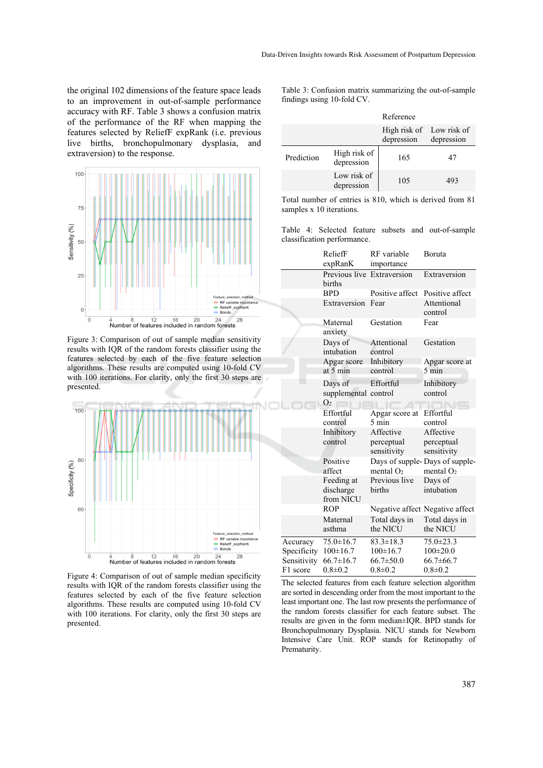the original 102 dimensions of the feature space leads to an improvement in out-of-sample performance accuracy with RF. Table 3 shows a confusion matrix of the performance of the RF when mapping the features selected by ReliefF expRank (i.e. previous live births, bronchopulmonary dysplasia, and extraversion) to the response.



Figure 3: Comparison of out of sample median sensitivity results with IQR of the random forests classifier using the features selected by each of the five feature selection algorithms. These results are computed using 10-fold CV with 100 iterations. For clarity, only the first 30 steps are presented.



Figure 4: Comparison of out of sample median specificity results with IQR of the random forests classifier using the features selected by each of the five feature selection algorithms. These results are computed using 10-fold CV with 100 iterations. For clarity, only the first 30 steps are presented.

Table 3: Confusion matrix summarizing the out-of-sample findings using 10-fold CV.

|            |                            | Reference                              |            |
|------------|----------------------------|----------------------------------------|------------|
|            |                            | High risk of Low risk of<br>depression | depression |
| Prediction | High risk of<br>depression | 165                                    | 47         |
|            | Low risk of<br>depression  | 105                                    | 493        |

Total number of entries is 810, which is derived from 81 samples x 10 iterations.

Table 4: Selected feature subsets and out-of-sample classification performance.

|             | ReliefF                              | RF variable               | Boruta                                        |
|-------------|--------------------------------------|---------------------------|-----------------------------------------------|
|             | expRanK                              | importance                |                                               |
|             | Previous live Extraversion<br>births |                           | Extraversion                                  |
|             | <b>BPD</b>                           | Positive affect           | Positive affect                               |
|             | Extraversion                         | Fear                      | Attentional<br>control                        |
|             | Maternal<br>anxiety                  | Gestation                 | Fear                                          |
|             | Days of<br>intubation                | Attentional<br>control    | Gestation                                     |
|             | Apgar score                          | Inhibitory                | Apgar score at                                |
|             | at $5 \text{ min}$                   | control                   | $5 \text{ min}$                               |
|             | Days of                              | Effortful                 | Inhibitory                                    |
|             | supplemental control                 |                           | control                                       |
|             | $\Omega$                             |                           |                                               |
|             | Effortful<br>control                 | Apgar score at<br>5 min   | Effortful<br>control                          |
|             | Inhibitory                           | Affective                 | Affective                                     |
|             | control                              | perceptual<br>sensitivity | perceptual<br>sensitivity                     |
|             | Positive<br>affect                   | mental $O2$               | Days of supple-Days of supple-<br>mental $O2$ |
|             | Feeding at<br>discharge<br>from NICU | Previous live<br>births   | Days of<br>intubation                         |
|             | <b>ROP</b>                           |                           | Negative affect Negative affect               |
|             | Maternal<br>asthma                   | Total days in<br>the NICU | Total days in<br>the NICU                     |
| Accuracy    | $75.0 \pm 16.7$                      | $83.3 \pm 18.3$           | $75.0 \pm 23.3$                               |
| Specificity | $100 \pm 16.7$                       | $100 \pm 16.7$            | $100 \pm 20.0$                                |
| Sensitivity | $66.7 \pm 16.7$                      | $66.7 \pm 50.0$           | $66.7 \pm 66.7$                               |
| F1 score    | $0.8 \pm 0.2$                        | $0.8 \pm 0.2$             | $0.8 \pm 0.2$                                 |

The selected features from each feature selection algorithm are sorted in descending order from the most important to the least important one. The last row presents the performance of the random forests classifier for each feature subset. The results are given in the form median±IQR. BPD stands for Bronchopulmonary Dysplasia. NICU stands for Newborn Intensive Care Unit. ROP stands for Retinopathy of Prematurity.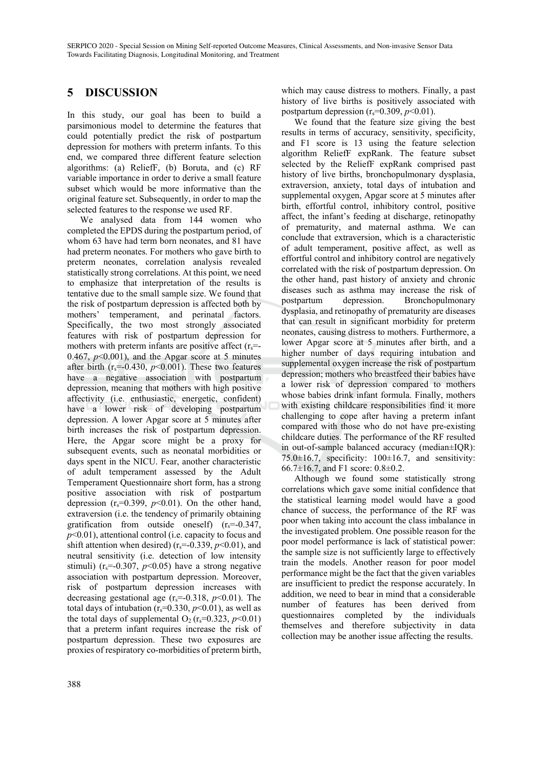## **5 DISCUSSION**

In this study, our goal has been to build a parsimonious model to determine the features that could potentially predict the risk of postpartum depression for mothers with preterm infants. To this end, we compared three different feature selection algorithms: (a) ReliefF, (b) Boruta, and (c) RF variable importance in order to derive a small feature subset which would be more informative than the original feature set. Subsequently, in order to map the selected features to the response we used RF.

We analysed data from 144 women who completed the EPDS during the postpartum period, of whom 63 have had term born neonates, and 81 have had preterm neonates. For mothers who gave birth to preterm neonates, correlation analysis revealed statistically strong correlations. At this point, we need to emphasize that interpretation of the results is tentative due to the small sample size. We found that the risk of postpartum depression is affected both by mothers' temperament, and perinatal factors. Specifically, the two most strongly associated features with risk of postpartum depression for mothers with preterm infants are positive affect  $(r_s=$ 0.467,  $p<0.001$ ), and the Apgar score at 5 minutes after birth  $(r_s=0.430, p<0.001)$ . These two features have a negative association with postpartum depression, meaning that mothers with high positive affectivity (i.e. enthusiastic, energetic, confident) have a lower risk of developing postpartum depression. A lower Apgar score at 5 minutes after birth increases the risk of postpartum depression. Here, the Apgar score might be a proxy for subsequent events, such as neonatal morbidities or days spent in the NICU. Fear, another characteristic of adult temperament assessed by the Adult Temperament Questionnaire short form, has a strong positive association with risk of postpartum depression  $(r_s=0.399, p<0.01)$ . On the other hand, extraversion (i.e. the tendency of primarily obtaining gratification from outside oneself)  $(r_s=0.347)$ , *p*<0.01), attentional control (i.e. capacity to focus and shift attention when desired)  $(r_s = 0.339, p \le 0.01)$ , and neutral sensitivity (i.e. detection of low intensity stimuli) ( $r_s = 0.307$ ,  $p < 0.05$ ) have a strong negative association with postpartum depression. Moreover, risk of postpartum depression increases with decreasing gestational age  $(r_s=0.318, p<0.01)$ . The total days of intubation  $(r_s=0.330, p<0.01)$ , as well as the total days of supplemental  $O_2(r_s=0.323, p<0.01)$ that a preterm infant requires increase the risk of postpartum depression. These two exposures are proxies of respiratory co-morbidities of preterm birth,

which may cause distress to mothers. Finally, a past history of live births is positively associated with postpartum depression  $(r_s=0.309, p<0.01)$ .

We found that the feature size giving the best results in terms of accuracy, sensitivity, specificity, and F1 score is 13 using the feature selection algorithm ReliefF expRank. The feature subset selected by the ReliefF expRank comprised past history of live births, bronchopulmonary dysplasia, extraversion, anxiety, total days of intubation and supplemental oxygen, Apgar score at 5 minutes after birth, effortful control, inhibitory control, positive affect, the infant's feeding at discharge, retinopathy of prematurity, and maternal asthma. We can conclude that extraversion, which is a characteristic of adult temperament, positive affect, as well as effortful control and inhibitory control are negatively correlated with the risk of postpartum depression. On the other hand, past history of anxiety and chronic diseases such as asthma may increase the risk of postpartum depression. Bronchopulmonary dysplasia, and retinopathy of prematurity are diseases that can result in significant morbidity for preterm neonates, causing distress to mothers. Furthermore, a lower Apgar score at 5 minutes after birth, and a higher number of days requiring intubation and supplemental oxygen increase the risk of postpartum depression; mothers who breastfeed their babies have a lower risk of depression compared to mothers whose babies drink infant formula. Finally, mothers with existing childcare responsibilities find it more challenging to cope after having a preterm infant compared with those who do not have pre-existing childcare duties. The performance of the RF resulted in out-of-sample balanced accuracy (median±IQR):  $75.0\pm16.7$ , specificity:  $100\pm16.7$ , and sensitivity: 66.7±16.7, and F1 score: 0.8±0.2.

Although we found some statistically strong correlations which gave some initial confidence that the statistical learning model would have a good chance of success, the performance of the RF was poor when taking into account the class imbalance in the investigated problem. One possible reason for the poor model performance is lack of statistical power: the sample size is not sufficiently large to effectively train the models. Another reason for poor model performance might be the fact that the given variables are insufficient to predict the response accurately. In addition, we need to bear in mind that a considerable number of features has been derived from questionnaires completed by the individuals themselves and therefore subjectivity in data collection may be another issue affecting the results.